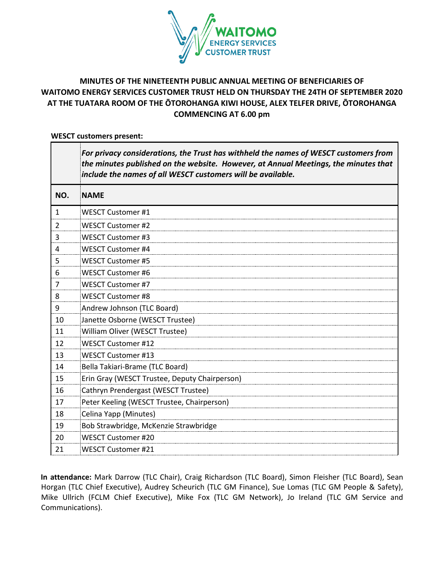

# **MINUTES OF THE NINETEENTH PUBLIC ANNUAL MEETING OF BENEFICIARIES OF WAITOMO ENERGY SERVICES CUSTOMER TRUST HELD ON THURSDAY THE 24TH OF SEPTEMBER 2020 AT THE TUATARA ROOM OF THE ŌTOROHANGA KIWI HOUSE, ALEX TELFER DRIVE, ŌTOROHANGA COMMENCING AT 6.00 pm**

#### **WESCT customers present:**

|              | For privacy considerations, the Trust has withheld the names of WESCT customers from<br>the minutes published on the website. However, at Annual Meetings, the minutes that<br>include the names of all WESCT customers will be available. |
|--------------|--------------------------------------------------------------------------------------------------------------------------------------------------------------------------------------------------------------------------------------------|
| NO.          | <b>NAME</b>                                                                                                                                                                                                                                |
| $\mathbf{1}$ | <b>WESCT Customer #1</b>                                                                                                                                                                                                                   |
| 2            | <b>WESCT Customer #2</b>                                                                                                                                                                                                                   |
| 3            | <b>WESCT Customer #3</b>                                                                                                                                                                                                                   |
| 4            | <b>WESCT Customer #4</b>                                                                                                                                                                                                                   |
| 5            | <b>WESCT Customer #5</b>                                                                                                                                                                                                                   |
| 6            | <b>WESCT Customer #6</b>                                                                                                                                                                                                                   |
| 7            | <b>WESCT Customer #7</b>                                                                                                                                                                                                                   |
| 8            | <b>WESCT Customer #8</b>                                                                                                                                                                                                                   |
| 9            | Andrew Johnson (TLC Board)                                                                                                                                                                                                                 |
| 10           | Janette Osborne (WESCT Trustee)                                                                                                                                                                                                            |
| 11           | William Oliver (WESCT Trustee)                                                                                                                                                                                                             |
| 12           | <b>WESCT Customer #12</b>                                                                                                                                                                                                                  |
| 13           | <b>WESCT Customer #13</b>                                                                                                                                                                                                                  |
| 14           | Bella Takiari-Brame (TLC Board)                                                                                                                                                                                                            |
| 15           | Erin Gray (WESCT Trustee, Deputy Chairperson)                                                                                                                                                                                              |
| 16           | Cathryn Prendergast (WESCT Trustee)                                                                                                                                                                                                        |
| 17           | Peter Keeling (WESCT Trustee, Chairperson)                                                                                                                                                                                                 |
| 18           | Celina Yapp (Minutes)                                                                                                                                                                                                                      |
| 19           | Bob Strawbridge, McKenzie Strawbridge                                                                                                                                                                                                      |
| 20           | WESCT Customer #20                                                                                                                                                                                                                         |
| 21           | <b>WESCT Customer #21</b>                                                                                                                                                                                                                  |

**In attendance:** Mark Darrow (TLC Chair), Craig Richardson (TLC Board), Simon Fleisher (TLC Board), Sean Horgan (TLC Chief Executive), Audrey Scheurich (TLC GM Finance), Sue Lomas (TLC GM People & Safety), Mike Ullrich (FCLM Chief Executive), Mike Fox (TLC GM Network), Jo Ireland (TLC GM Service and Communications).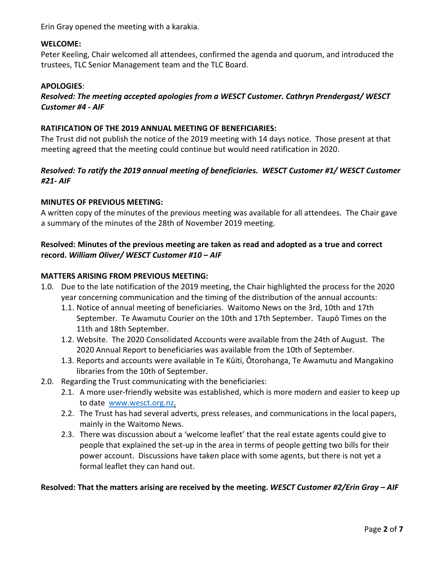Erin Gray opened the meeting with a karakia.

#### **WELCOME:**

Peter Keeling, Chair welcomed all attendees, confirmed the agenda and quorum, and introduced the trustees, TLC Senior Management team and the TLC Board.

#### **APOLOGIES**:

### *Resolved: The meeting accepted apologies from a WESCT Customer. Cathryn Prendergast/ WESCT Customer #4 - AIF*

#### **RATIFICATION OF THE 2019 ANNUAL MEETING OF BENEFICIARIES:**

The Trust did not publish the notice of the 2019 meeting with 14 days notice. Those present at that meeting agreed that the meeting could continue but would need ratification in 2020.

### *Resolved: To ratify the 2019 annual meeting of beneficiaries. WESCT Customer #1/ WESCT Customer #21- AIF*

#### **MINUTES OF PREVIOUS MEETING:**

A written copy of the minutes of the previous meeting was available for all attendees. The Chair gave a summary of the minutes of the 28th of November 2019 meeting.

### **Resolved: Minutes of the previous meeting are taken as read and adopted as a true and correct record.** *William Oliver/ WESCT Customer #10 – AIF*

#### **MATTERS ARISING FROM PREVIOUS MEETING:**

- 1.0. Due to the late notification of the 2019 meeting, the Chair highlighted the process for the 2020 year concerning communication and the timing of the distribution of the annual accounts:
	- 1.1. Notice of annual meeting of beneficiaries. Waitomo News on the 3rd, 10th and 17th September. Te Awamutu Courier on the 10th and 17th September. Taupō Times on the 11th and 18th September.
	- 1.2. Website. The 2020 Consolidated Accounts were available from the 24th of August. The 2020 Annual Report to beneficiaries was available from the 10th of September.
	- 1.3. Reports and accounts were available in Te Kūiti, Ōtorohanga, Te Awamutu and Mangakino libraries from the 10th of September.
- 2.0. Regarding the Trust communicating with the beneficiaries:
	- 2.1. A more user-friendly website was established, which is more modern and easier to keep up to date [www.wesct.org.nz.](http://www.wesct.org.nz/)
	- 2.2. The Trust has had several adverts, press releases, and communications in the local papers, mainly in the Waitomo News.
	- 2.3. There was discussion about a 'welcome leaflet' that the real estate agents could give to people that explained the set-up in the area in terms of people getting two bills for their power account. Discussions have taken place with some agents, but there is not yet a formal leaflet they can hand out.

#### **Resolved: That the matters arising are received by the meeting.** *WESCT Customer #2/Erin Gray – AIF*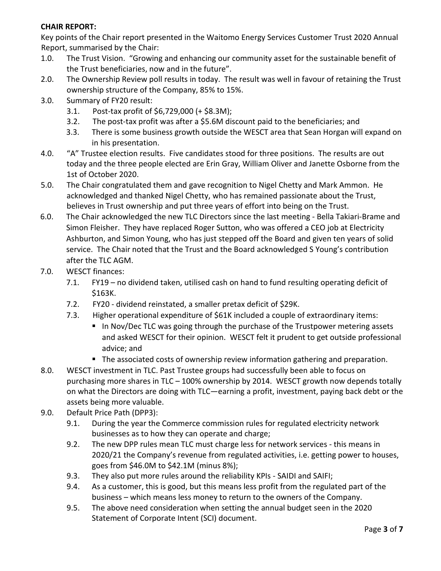## **CHAIR REPORT:**

Key points of the Chair report presented in the Waitomo Energy Services Customer Trust 2020 Annual Report, summarised by the Chair:

- 1.0. The Trust Vision. "Growing and enhancing our community asset for the sustainable benefit of the Trust beneficiaries, now and in the future".
- 2.0. The Ownership Review poll results in today. The result was well in favour of retaining the Trust ownership structure of the Company, 85% to 15%.
- 3.0. Summary of FY20 result:
	- 3.1. Post-tax profit of \$6,729,000 (+ \$8.3M);
	- 3.2. The post-tax profit was after a \$5.6M discount paid to the beneficiaries; and
	- 3.3. There is some business growth outside the WESCT area that Sean Horgan will expand on in his presentation.
- 4.0. "A" Trustee election results. Five candidates stood for three positions. The results are out today and the three people elected are Erin Gray, William Oliver and Janette Osborne from the 1st of October 2020.
- 5.0. The Chair congratulated them and gave recognition to Nigel Chetty and Mark Ammon. He acknowledged and thanked Nigel Chetty, who has remained passionate about the Trust, believes in Trust ownership and put three years of effort into being on the Trust.
- 6.0. The Chair acknowledged the new TLC Directors since the last meeting Bella Takiari-Brame and Simon Fleisher. They have replaced Roger Sutton, who was offered a CEO job at Electricity Ashburton, and Simon Young, who has just stepped off the Board and given ten years of solid service. The Chair noted that the Trust and the Board acknowledged S Young's contribution after the TLC AGM.
- 7.0. WESCT finances:
	- 7.1. FY19 no dividend taken, utilised cash on hand to fund resulting operating deficit of \$163K.
	- 7.2. FY20 dividend reinstated, a smaller pretax deficit of \$29K.
	- 7.3. Higher operational expenditure of \$61K included a couple of extraordinary items:
		- In Nov/Dec TLC was going through the purchase of the Trustpower metering assets and asked WESCT for their opinion. WESCT felt it prudent to get outside professional advice; and
			- **The associated costs of ownership review information gathering and preparation.**
- 8.0. WESCT investment in TLC. Past Trustee groups had successfully been able to focus on purchasing more shares in TLC – 100% ownership by 2014. WESCT growth now depends totally on what the Directors are doing with TLC—earning a profit, investment, paying back debt or the assets being more valuable.
- 9.0. Default Price Path (DPP3):
	- 9.1. During the year the Commerce commission rules for regulated electricity network businesses as to how they can operate and charge;
	- 9.2. The new DPP rules mean TLC must charge less for network services this means in 2020/21 the Company's revenue from regulated activities, i.e. getting power to houses, goes from \$46.0M to \$42.1M (minus 8%);
	- 9.3. They also put more rules around the reliability KPIs SAIDI and SAIFI;
	- 9.4. As a customer, this is good, but this means less profit from the regulated part of the business – which means less money to return to the owners of the Company.
	- 9.5. The above need consideration when setting the annual budget seen in the 2020 Statement of Corporate Intent (SCI) document.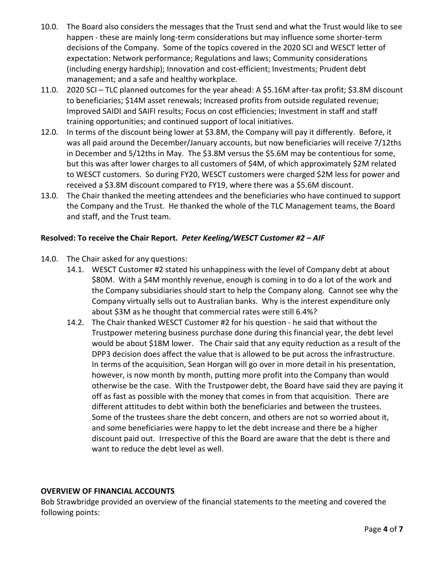- 10.0. The Board also considers the messages that the Trust send and what the Trust would like to see happen - these are mainly long-term considerations but may influence some shorter-term decisions of the Company. Some of the topics covered in the 2020 SCI and WESCT letter of expectation: Network performance; Regulations and laws; Community considerations (including energy hardship); Innovation and cost-efficient; Investments; Prudent debt management; and a safe and healthy workplace.
- 11.0. 2020 SCI TLC planned outcomes for the year ahead: A \$5.16M after-tax profit; \$3.8M discount to beneficiaries; \$14M asset renewals; Increased profits from outside regulated revenue; Improved SAIDI and SAIFI results; Focus on cost efficiencies; Investment in staff and staff training opportunities; and continued support of local initiatives.
- 12.0. In terms of the discount being lower at \$3.8M, the Company will pay it differently. Before, it was all paid around the December/January accounts, but now beneficiaries will receive 7/12ths in December and 5/12ths in May. The \$3.8M versus the \$5.6M may be contentious for some, but this was after lower charges to all customers of \$4M, of which approximately \$2M related to WESCT customers. So during FY20, WESCT customers were charged \$2M less for power and received a \$3.8M discount compared to FY19, where there was a \$5.6M discount.
- 13.0. The Chair thanked the meeting attendees and the beneficiaries who have continued to support the Company and the Trust. He thanked the whole of the TLC Management teams, the Board and staff, and the Trust team.

## **Resolved: To receive the Chair Report.** *Peter Keeling/WESCT Customer #2 – AIF*

- 14.0. The Chair asked for any questions:
	- 14.1. WESCT Customer #2 stated his unhappiness with the level of Company debt at about \$80M. With a \$4M monthly revenue, enough is coming in to do a lot of the work and the Company subsidiaries should start to help the Company along. Cannot see why the Company virtually sells out to Australian banks. Why is the interest expenditure only about \$3M as he thought that commercial rates were still 6.4%?
	- 14.2. The Chair thanked WESCT Customer #2 for his question he said that without the Trustpower metering business purchase done during this financial year, the debt level would be about \$18M lower. The Chair said that any equity reduction as a result of the DPP3 decision does affect the value that is allowed to be put across the infrastructure. In terms of the acquisition, Sean Horgan will go over in more detail in his presentation, however, is now month by month, putting more profit into the Company than would otherwise be the case. With the Trustpower debt, the Board have said they are paying it off as fast as possible with the money that comes in from that acquisition. There are different attitudes to debt within both the beneficiaries and between the trustees. Some of the trustees share the debt concern, and others are not so worried about it, and some beneficiaries were happy to let the debt increase and there be a higher discount paid out. Irrespective of this the Board are aware that the debt is there and want to reduce the debt level as well.

## **OVERVIEW OF FINANCIAL ACCOUNTS**

Bob Strawbridge provided an overview of the financial statements to the meeting and covered the following points: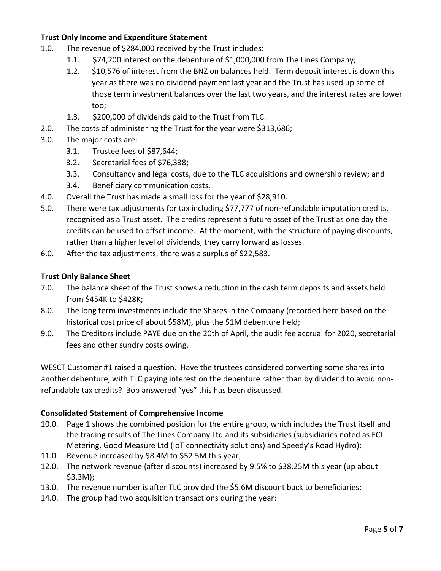## **Trust Only Income and Expenditure Statement**

- 1.0. The revenue of \$284,000 received by the Trust includes:
	- 1.1. \$74,200 interest on the debenture of \$1,000,000 from The Lines Company;
	- 1.2. \$10,576 of interest from the BNZ on balances held. Term deposit interest is down this year as there was no dividend payment last year and the Trust has used up some of those term investment balances over the last two years, and the interest rates are lower too;
	- 1.3. \$200,000 of dividends paid to the Trust from TLC.
- 2.0. The costs of administering the Trust for the year were \$313,686;
- 3.0. The major costs are:
	- 3.1. Trustee fees of \$87,644;
	- 3.2. Secretarial fees of \$76,338;
	- 3.3. Consultancy and legal costs, due to the TLC acquisitions and ownership review; and
	- 3.4. Beneficiary communication costs.
- 4.0. Overall the Trust has made a small loss for the year of \$28,910.
- 5.0. There were tax adjustments for tax including \$77,777 of non-refundable imputation credits, recognised as a Trust asset. The credits represent a future asset of the Trust as one day the credits can be used to offset income. At the moment, with the structure of paying discounts, rather than a higher level of dividends, they carry forward as losses.
- 6.0. After the tax adjustments, there was a surplus of \$22,583.

#### **Trust Only Balance Sheet**

- 7.0. The balance sheet of the Trust shows a reduction in the cash term deposits and assets held from \$454K to \$428K;
- 8.0. The long term investments include the Shares in the Company (recorded here based on the historical cost price of about \$58M), plus the \$1M debenture held;
- 9.0. The Creditors include PAYE due on the 20th of April, the audit fee accrual for 2020, secretarial fees and other sundry costs owing.

WESCT Customer #1 raised a question. Have the trustees considered converting some shares into another debenture, with TLC paying interest on the debenture rather than by dividend to avoid nonrefundable tax credits? Bob answered "yes" this has been discussed.

## **Consolidated Statement of Comprehensive Income**

- 10.0. Page 1 shows the combined position for the entire group, which includes the Trust itself and the trading results of The Lines Company Ltd and its subsidiaries (subsidiaries noted as FCL Metering, Good Measure Ltd (IoT connectivity solutions) and Speedy's Road Hydro);
- 11.0. Revenue increased by \$8.4M to \$52.5M this year;
- 12.0. The network revenue (after discounts) increased by 9.5% to \$38.25M this year (up about \$3.3M);
- 13.0. The revenue number is after TLC provided the \$5.6M discount back to beneficiaries;
- 14.0. The group had two acquisition transactions during the year: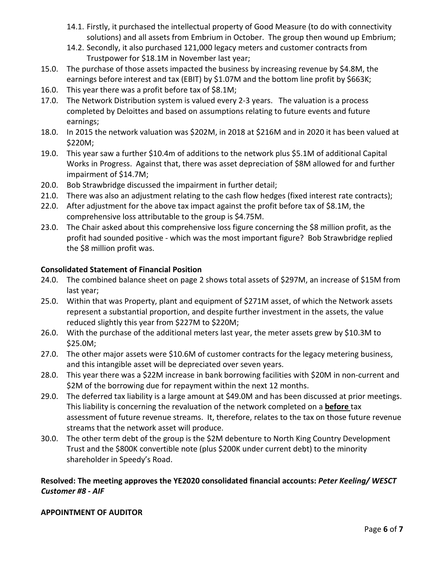- 14.1. Firstly, it purchased the intellectual property of Good Measure (to do with connectivity solutions) and all assets from Embrium in October. The group then wound up Embrium;
- 14.2. Secondly, it also purchased 121,000 legacy meters and customer contracts from Trustpower for \$18.1M in November last year;
- 15.0. The purchase of those assets impacted the business by increasing revenue by \$4.8M, the earnings before interest and tax (EBIT) by \$1.07M and the bottom line profit by \$663K;
- 16.0. This year there was a profit before tax of \$8.1M;
- 17.0. The Network Distribution system is valued every 2-3 years. The valuation is a process completed by Deloittes and based on assumptions relating to future events and future earnings;
- 18.0. In 2015 the network valuation was \$202M, in 2018 at \$216M and in 2020 it has been valued at \$220M;
- 19.0. This year saw a further \$10.4m of additions to the network plus \$5.1M of additional Capital Works in Progress. Against that, there was asset depreciation of \$8M allowed for and further impairment of \$14.7M;
- 20.0. Bob Strawbridge discussed the impairment in further detail;
- 21.0. There was also an adjustment relating to the cash flow hedges (fixed interest rate contracts);
- 22.0. After adjustment for the above tax impact against the profit before tax of \$8.1M, the comprehensive loss attributable to the group is \$4.75M.
- 23.0. The Chair asked about this comprehensive loss figure concerning the \$8 million profit, as the profit had sounded positive - which was the most important figure? Bob Strawbridge replied the \$8 million profit was.

## **Consolidated Statement of Financial Position**

- 24.0. The combined balance sheet on page 2 shows total assets of \$297M, an increase of \$15M from last year;
- 25.0. Within that was Property, plant and equipment of \$271M asset, of which the Network assets represent a substantial proportion, and despite further investment in the assets, the value reduced slightly this year from \$227M to \$220M;
- 26.0. With the purchase of the additional meters last year, the meter assets grew by \$10.3M to \$25.0M;
- 27.0. The other major assets were \$10.6M of customer contracts for the legacy metering business, and this intangible asset will be depreciated over seven years.
- 28.0. This year there was a \$22M increase in bank borrowing facilities with \$20M in non-current and \$2M of the borrowing due for repayment within the next 12 months.
- 29.0. The deferred tax liability is a large amount at \$49.0M and has been discussed at prior meetings. This liability is concerning the revaluation of the network completed on a **before** tax assessment of future revenue streams. It, therefore, relates to the tax on those future revenue streams that the network asset will produce.
- 30.0. The other term debt of the group is the \$2M debenture to North King Country Development Trust and the \$800K convertible note (plus \$200K under current debt) to the minority shareholder in Speedy's Road.

# **Resolved: The meeting approves the YE2020 consolidated financial accounts:** *Peter Keeling/ WESCT Customer #8 - AIF*

## **APPOINTMENT OF AUDITOR**